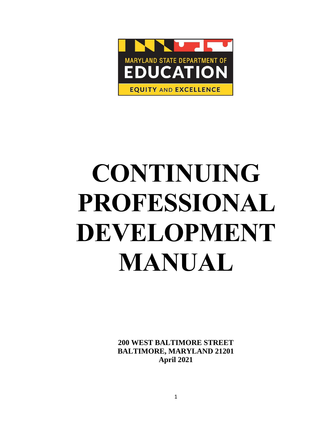

# **CONTINUING PROFESSIONAL DEVELOPMENT MANUAL**

**200 WEST BALTIMORE STREET BALTIMORE, MARYLAND 21201 April 2021**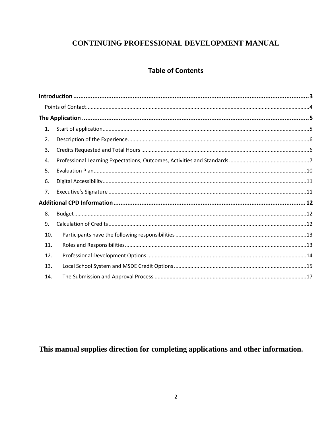# CONTINUING PROFESSIONAL DEVELOPMENT MANUAL

# **Table of Contents**

| 1.  |  |
|-----|--|
| 2.  |  |
| 3.  |  |
| 4.  |  |
| 5.  |  |
| 6.  |  |
| 7.  |  |
|     |  |
| 8.  |  |
| 9.  |  |
| 10. |  |
| 11. |  |
| 12. |  |
| 13. |  |
| 14. |  |

This manual supplies direction for completing applications and other information.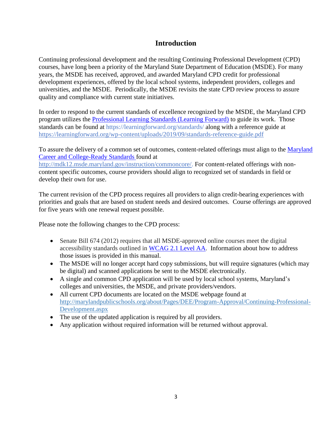## **Introduction**

<span id="page-2-0"></span>Continuing professional development and the resulting Continuing Professional Development (CPD) courses, have long been a priority of the Maryland State Department of Education (MSDE). For many years, the MSDE has received, approved, and awarded Maryland CPD credit for professional development experiences, offered by the local school systems, independent providers, colleges and universities, and the MSDE. Periodically, the MSDE revisits the state CPD review process to assure quality and compliance with current state initiatives.

In order to respond to the current standards of excellence recognized by the MSDE, the Maryland CPD program utilizes the [Professional Learning Standards \(Learning Forward\)](https://learningforward.org/standards/) to guide its work. Those standards can be found at https://learningforward.org/standards/ along with a reference guide at https://learningforward.org/wp-content/uploads/2019/09/standards-reference-guide.pdf

To assure the delivery of a common set of outcomes, content-related offerings must align to the [Maryland](http://mdk12.msde.maryland.gov/instruction/commoncore/)  [Career and College-Ready Standards f](http://mdk12.msde.maryland.gov/instruction/commoncore/)ound at

http://mdk12.msde.maryland.gov/instruction/commoncore/. For content-related offerings with noncontent specific outcomes, course providers should align to recognized set of standards in field or develop their own for use.

The current revision of the CPD process requires all providers to align credit-bearing experiences with priorities and goals that are based on student needs and desired outcomes. Course offerings are approved for five years with one renewal request possible.

Please note the following changes to the CPD process:

- Senate Bill 674 (2012) requires that all MSDE-approved online courses meet the digital accessibility standards outlined in [WCAG 2.1 Level AA.](https://www.w3.org/TR/WCAG21/) Information about how to address those issues is provided in this manual.
- The MSDE will no longer accept hard copy submissions, but will require signatures (which may be digital) and scanned applications be sent to the MSDE electronically.
- A single and common CPD application will be used by local school systems, Maryland's colleges and universities, the MSDE, and private providers/vendors.
- All current CPD documents are located on the MSDE webpage found at [http://marylandpublicschools.org/about/Pages/DEE/Program-Approval/Continuing-Professional-](http://marylandpublicschools.org/about/Pages/DEE/Program-Approval/Continuing-Professional-Development.aspx)[Development.aspx](http://marylandpublicschools.org/about/Pages/DEE/Program-Approval/Continuing-Professional-Development.aspx)
- The use of the updated application is required by all providers.
- Any application without required information will be returned without approval.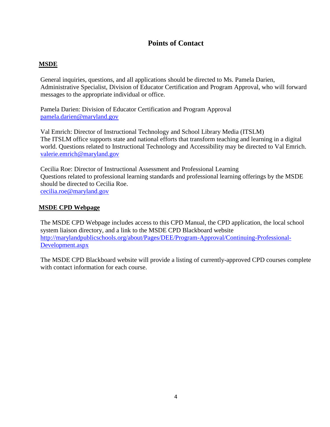## **Points of Contact**

## <span id="page-3-0"></span>**MSDE**

General inquiries, questions, and all applications should be directed to Ms. Pamela Darien, Administrative Specialist, Division of Educator Certification and Program Approval, who will forward messages to the appropriate individual or office.

Pamela Darien: Division of Educator Certification and Program Approval [pamela.darien@maryland.gov](mailto:pamela.darien@maryland.gov)

Val Emrich: Director of Instructional Technology and School Library Media (ITSLM) The ITSLM office supports state and national efforts that transform teaching and learning in a digital world. Questions related to Instructional Technology and Accessibility may be directed to Val Emrich. [valerie.emrich@maryland.gov](mailto:valerie.emrich@maryland.gov)

Cecilia Roe: Director of Instructional Assessment and Professional Learning Questions related to professional learning standards and professional learning offerings by the MSDE should be directed to Cecilia Roe. [cecilia.roe@maryland.gov](mailto:cecilia.roe@maryland.gov)

## **MSDE CPD Webpage**

The MSDE CPD Webpage includes access to this CPD Manual, the CPD application, the local school system liaison directory, and a link to the MSDE CPD Blackboard website http://marylandpublicschools.org/about/Pages/DEE/Program-Approval/Continuing-Professional-Development.aspx

The MSDE CPD Blackboard website will provide a listing of currently-approved CPD courses complete with contact information for each course.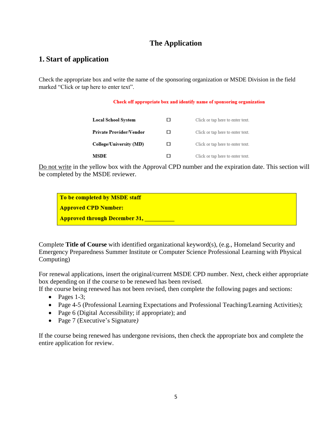# **The Application**

## <span id="page-4-1"></span><span id="page-4-0"></span>**1. Start of application**

Check the appropriate box and write the name of the sponsoring organization or MSDE Division in the field marked "Click or tap here to enter text".

#### Check off appropriate box and identify name of sponsoring organization

| <b>Local School System</b> | . . | Click or tap here to enter text. |
|----------------------------|-----|----------------------------------|
| Private Provider/Vendor    | П   | Click or tap here to enter text. |
| College/University (MD)    | . . | Click or tap here to enter text. |
| MSDE                       | ı ı | Click or tap here to enter text. |

Do not write in the yellow box with the Approval CPD number and the expiration date. This section will be completed by the MSDE reviewer.

To be completed by MSDE staff **Approved CPD Number: Approved through December 31, Theory Approved through December 31, Theory Approved Approximate** 

Complete **Title of Course** with identified organizational keyword(s), (e.g., Homeland Security and Emergency Preparedness Summer Institute or Computer Science Professional Learning with Physical Computing)

For renewal applications, insert the original/current MSDE CPD number. Next, check either appropriate box depending on if the course to be renewed has been revised.

If the course being renewed has not been revised, then complete the following pages and sections:

- Pages  $1-3$ ;
- Page 4-5 (Professional Learning Expectations and Professional Teaching/Learning Activities);
- Page 6 (Digital Accessibility; if appropriate); and
- Page 7 (Executive's Signature*)*

If the course being renewed has undergone revisions, then check the appropriate box and complete the entire application for review.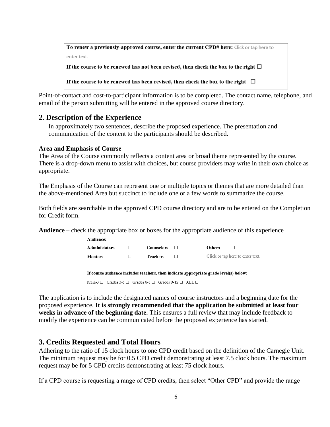To renew a previously-approved course, enter the current CPD# here: Click or tap here to enter text. If the course to be renewed has not been revised, then check the box to the right  $\Box$ If the course to be renewed has been revised, then check the box to the right  $\Box$ 

Point-of-contact and cost-to-participant information is to be completed. The contact name, telephone, and email of the person submitting will be entered in the approved course directory.

## <span id="page-5-0"></span>**2. Description of the Experience**

In approximately two sentences, describe the proposed experience. The presentation and communication of the content to the participants should be described.

#### **Area and Emphasis of Course**

The Area of the Course commonly reflects a content area or broad theme represented by the course. There is a drop-down menu to assist with choices, but course providers may write in their own choice as appropriate.

The Emphasis of the Course can represent one or multiple topics or themes that are more detailed than the above-mentioned Area but succinct to include one or a few words to summarize the course.

Both fields are searchable in the approved CPD course directory and are to be entered on the Completion for Credit form.

**Audience –** check the appropriate box or boxes for the appropriate audience of this experience

| <b>Administators</b> | $\mathbf C$ ounselors $\mathbf \Box$ | <b>Others</b>                    |
|----------------------|--------------------------------------|----------------------------------|
| Mentors              | Teachers                             | Click or tap here to enter text. |

If course audience includes teachers, then indicate appropriate grade level(s) below:

PreK-3  $\Box$  Grades 3-5  $\Box$  Grades 6-8  $\Box$  Grades 9-12  $\Box$  ALL  $\Box$ 

The application is to include the designated names of course instructors and a beginning date for the proposed experience. **It is strongly recommended that the application be submitted at least four weeks in advance of the beginning date.** This ensures a full review that may include feedback to modify the experience can be communicated before the proposed experience has started.

## <span id="page-5-1"></span>**3. Credits Requested and Total Hours**

Audience:

Adhering to the ratio of 15 clock hours to one CPD credit based on the definition of the Carnegie Unit. The minimum request may be for 0.5 CPD credit demonstrating at least 7.5 clock hours. The maximum request may be for 5 CPD credits demonstrating at least 75 clock hours.

If a CPD course is requesting a range of CPD credits, then select "Other CPD" and provide the range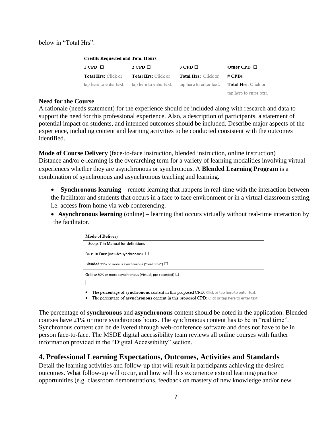below in "Total Hrs".

| <b>Credits Requested and Total Hours</b> |                            |                                                                                                    |                         |
|------------------------------------------|----------------------------|----------------------------------------------------------------------------------------------------|-------------------------|
| $1$ CPD $\Box$                           | $2$ CPD $\Box$             | $3$ CPD $\Box$                                                                                     | Other CPD $\Box$        |
| <b>Total Hrs:</b> Click or               | <b>Total Hrs:</b> Click or | <b>Total Hrs:</b> Click or                                                                         | # CPDs                  |
|                                          |                            | tap here to enter text. tap here to enter text. tap here to enter text. <b>Total Hrs:</b> Click or |                         |
|                                          |                            |                                                                                                    | tap here to enter text. |

#### **Need for the Course**

A rationale (needs statement) for the experience should be included along with research and data to support the need for this professional experience. Also, a description of participants, a statement of potential impact on students, and intended outcomes should be included. Describe major aspects of the experience, including content and learning activities to be conducted consistent with the outcomes identified.

**Mode of Course Delivery** (face-to-face instruction, blended instruction, online instruction) Distance and/or e-learning is the overarching term for a variety of learning modalities involving virtual experiences whether they are asynchronous or synchronous. A **Blended Learning Program** is a combination of synchronous and asynchronous teaching and learning.

 **Synchronous learning** – remote learning that happens in real-time with the interaction between the facilitator and students that occurs in a face to face environment or in a virtual classroom setting, i.e. access from home via web conferencing.

 **Asynchronous learning** (online) – learning that occurs virtually without real-time interaction by the facilitator.

| <b>Mode of Delivery</b>                                               |
|-----------------------------------------------------------------------|
| - See p. 7 in Manual for definitions                                  |
| Face-to-Face (includes synchronous) □                                 |
| <b>Blended</b> 21% or more is synchronous ("real time") $\Box$        |
| <b>Online</b> 80% or more asynchronous (Virtual; pre-recorded) $\Box$ |
|                                                                       |

• The percentage of synchronous content in this proposed CPD: Click or tap here to enter text.

• The percentage of asynchronous content in this proposed CPD: Click or tap here to enter text.

The percentage of **synchronous** and **asynchronous** content should be noted in the application. Blended courses have 21% or more synchronous hours. The synchronous content has to be in "real time". Synchronous content can be delivered through web-conference software and does not have to be in person face-to-face. The MSDE digital accessibility team reviews all online courses with further information provided in the "Digital Accessibility" section.

## <span id="page-6-0"></span>**4. Professional Learning Expectations, Outcomes, Activities and Standards**

Detail the learning activities and follow-up that will result in participants achieving the desired outcomes. What follow-up will occur, and how will this experience extend learning/practice opportunities (e.g. classroom demonstrations, feedback on mastery of new knowledge and/or new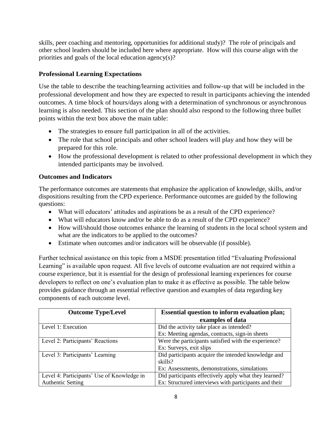skills, peer coaching and mentoring, opportunities for additional study)? The role of principals and other school leaders should be included here where appropriate. How will this course align with the priorities and goals of the local education agency(s)?

## **Professional Learning Expectations**

Use the table to describe the teaching/learning activities and follow-up that will be included in the professional development and how they are expected to result in participants achieving the intended outcomes. A time block of hours/days along with a determination of synchronous or asynchronous learning is also needed. This section of the plan should also respond to the following three bullet points within the text box above the main table:

- The strategies to ensure full participation in all of the activities.
- The role that school principals and other school leaders will play and how they will be prepared for this role.
- How the professional development is related to other professional development in which they intended participants may be involved.

## **Outcomes and Indicators**

The performance outcomes are statements that emphasize the application of knowledge, skills, and/or dispositions resulting from the CPD experience. Performance outcomes are guided by the following questions:

- What will educators' attitudes and aspirations be as a result of the CPD experience?
- What will educators know and/or be able to do as a result of the CPD experience?
- How will/should those outcomes enhance the learning of students in the local school system and what are the indicators to be applied to the outcomes?
- Estimate when outcomes and/or indicators will be observable (if possible).

Further technical assistance on this topic from a MSDE presentation titled "Evaluating Professional Learning" is available upon request. All five levels of outcome evaluation are not required within a course experience, but it is essential for the design of professional learning experiences for course developers to reflect on one's evaluation plan to make it as effective as possible. The table below provides guidance through an essential reflective question and examples of data regarding key components of each outcome level.

| <b>Outcome Type/Level</b>                  | <b>Essential question to inform evaluation plan;</b>  |  |
|--------------------------------------------|-------------------------------------------------------|--|
|                                            | examples of data                                      |  |
| Level 1: Execution                         | Did the activity take place as intended?              |  |
|                                            | Ex: Meeting agendas, contracts, sign-in sheets        |  |
| Level 2: Participants' Reactions           | Were the participants satisfied with the experience?  |  |
|                                            | Ex: Surveys, exit slips                               |  |
| Level 3: Participants' Learning            | Did participants acquire the intended knowledge and   |  |
|                                            | skills?                                               |  |
|                                            | Ex: Assessments, demonstrations, simulations          |  |
| Level 4: Participants' Use of Knowledge in | Did participants effectively apply what they learned? |  |
| <b>Authentic Setting</b>                   | Ex: Structured interviews with participants and their |  |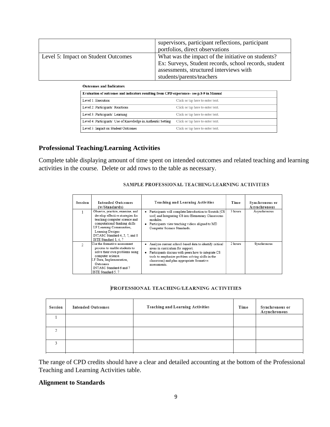|                                     | supervisors, participant reflections, participant<br>portfolios, direct observations                                                                                                |
|-------------------------------------|-------------------------------------------------------------------------------------------------------------------------------------------------------------------------------------|
| Level 5: Impact on Student Outcomes | What was the impact of the initiative on students?<br>Ex: Surveys, Student records, school records, student<br>assessments, structured interviews with<br>students/parents/teachers |

| <b>Outcomes and Indicators</b>                                                          |                                  |
|-----------------------------------------------------------------------------------------|----------------------------------|
| Evaluation of outcomes and indicators resulting from CPD experience-see p.8-9 in Manual |                                  |
| Level 1: Execution                                                                      | Click or tap here to enter text. |
| Level 2: Participants' Reactions                                                        | Click or tap here to enter text. |
| Level 3: Participants' Learning                                                         | Click or tap here to enter text. |
| Level 4: Participants' Use of Knowledge in Authentic Setting                            | Click or tap here to enter text. |
| Level 5: Impact on Student Outcomes                                                     | Click or tap here to enter text. |

#### **Professional Teaching/Learning Activities**

Complete table displaying amount of time spent on intended outcomes and related teaching and learning activities in the course.Delete or add rows to the table as necessary.

| <b>Session</b> | <b>Intended Outcomes</b><br>(w/Standards)                                                                                                                                                                                                        | <b>Teaching and Learning Activities</b>                                                                                                                                                                                                                            | Time    | Synchronous or<br>Asynchronous |
|----------------|--------------------------------------------------------------------------------------------------------------------------------------------------------------------------------------------------------------------------------------------------|--------------------------------------------------------------------------------------------------------------------------------------------------------------------------------------------------------------------------------------------------------------------|---------|--------------------------------|
|                | Observe, practice, examine, and<br>develop effective strategies for<br>teaching computer science and<br>computational thinking skills<br>LF Learning Communities,<br>Learning Designs<br>INTASC Standard 4, 5, 7, and 8<br>ISTE Standard 1, 4, 7 | Participants will complete Introduction to Scratch (CS<br>tool) and Integrating CS into Elementary Classrooms<br>modules.<br>Participants view teaching videos aligned to MD<br>Computer Science Standards.                                                        | 3 hours | Asynchronous                   |
|                | Use the formative assessment<br>process to enable students to<br>solve their own problems using<br>computer science.<br>LF Data, Implementation,<br>Outcomes<br>INTASC Standard 6 and 7<br>ISTE Standard 5, 7                                    | Analyze current school-based data to identify critical<br>areas in curriculum for support.<br>Participants discuss with peers how to integrate CS<br>tools to emphasize problem solving skills in the<br>classroom) and plan appropriate formative<br>assessments. | 2 hours | Synchronous                    |

#### SAMPLE PROFESSIONAL TEACHING/LEARNING ACTIVITIES

#### PROFESSIONAL TEACHING/LEARNING ACTIVITIES

| Session | <b>Intended Outcomes</b> | <b>Teaching and Learning Activities</b> | Time | Synchronous or<br>Asynchronous |
|---------|--------------------------|-----------------------------------------|------|--------------------------------|
|         |                          |                                         |      |                                |
|         |                          |                                         |      |                                |
|         |                          |                                         |      |                                |

The range of CPD credits should have a clear and detailed accounting at the bottom of the Professional Teaching and Learning Activities table.

## **Alignment to Standards**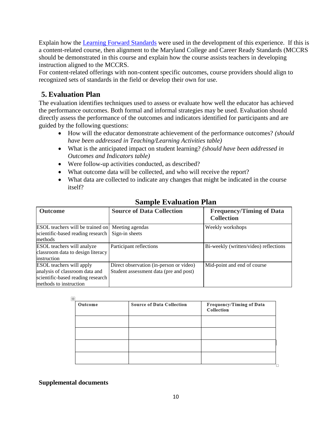Explain how the [Learning Forward Standards](https://learningforward.org/wp-content/uploads/2019/09/standards-reference-guide.pdf) were used in the development of this experience. If this is a content-related course, then alignment to the Maryland College and Career Ready Standards (MCCRS should be demonstrated in this course and explain how the course assists teachers in developing instruction aligned to the MCCRS.

For content-related offerings with non-content specific outcomes, course providers should align to recognized sets of standards in the field or develop their own for use.

# <span id="page-9-0"></span>**5. Evaluation Plan**

The evaluation identifies techniques used to assess or evaluate how well the educator has achieved the performance outcomes. Both formal and informal strategies may be used. Evaluation should directly assess the performance of the outcomes and indicators identified for participants and are guided by the following questions:

- How will the educator demonstrate achievement of the performance outcomes? *(should have been addressed in Teaching/Learning Activities table)*
- What is the anticipated impact on student learning? *(should have been addressed in Outcomes and Indicators table)*
- Were follow-up activities conducted, as described?
- What outcome data will be collected, and who will receive the report?
- What data are collected to indicate any changes that might be indicated in the course itself?

| <b>Outcome</b>                                                                                                                   | <b>Source of Data Collection</b>                                                  | <b>Frequency/Timing of Data</b><br><b>Collection</b> |
|----------------------------------------------------------------------------------------------------------------------------------|-----------------------------------------------------------------------------------|------------------------------------------------------|
| <b>ESOL</b> teachers will be trained on Meeting agendas<br>scientific-based reading research<br>methods                          | Sign-in sheets                                                                    | Weekly workshops                                     |
| <b>ESOL</b> teachers will analyze<br>classroom data to design literacy<br>instruction                                            | Participant reflections                                                           | Bi-weekly (written/video) reflections                |
| <b>ESOL</b> teachers will apply<br>analysis of classroom data and<br>scientific-based reading research<br>methods to instruction | Direct observation (in-person or video)<br>Student assessment data (pre and post) | Mid-point and end of course                          |

# **Sample Evaluation Plan**

| Outcome | <b>Source of Data Collection</b> | Frequency/Timing of Data<br>Collection |
|---------|----------------------------------|----------------------------------------|
|         |                                  |                                        |
|         |                                  |                                        |
|         |                                  |                                        |
|         |                                  |                                        |

## **Supplemental documents**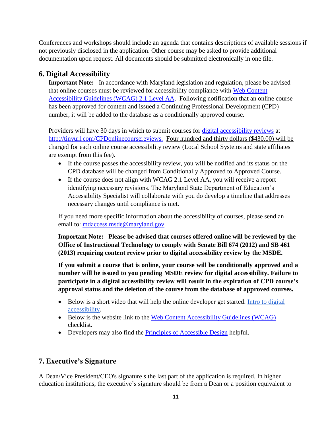Conferences and workshops should include an agenda that contains descriptions of available sessions if not previously disclosed in the application. Other course may be asked to provide additional documentation upon request. All documents should be submitted electronically in one file.

# <span id="page-10-0"></span>**6. Digital Accessibility**

**Important Note:** In accordance with Maryland legislation and regulation, please be advised that online courses must be reviewed for accessibility compliance with [Web Content](https://www.w3.org/TR/WCAG21/)  [Accessibility Guidelines \(WCAG\) 2.1](https://www.w3.org/TR/WCAG21/) Level AA. Following notification that an online course has been approved for content and issued a Continuing Professional Development (CPD) number, it will be added to the database as a conditionally approved course.

Providers will have 30 days in which to submit courses for [digital accessibility reviews](http://tinyurl.com/CPDonlinecoursereviews) at http://tinyurl.com/CPDonlinecoursereviews. Four hundred and thirty dollars (\$430.00) will be charged for each online course accessibility review (Local School Systems and state affiliates are exempt from this fee).

- If the course passes the accessibility review, you will be notified and its status on the CPD database will be changed from Conditionally Approved to Approved Course.
- If the course does not align with WCAG 2.1 Level AA, you will receive a report identifying necessary revisions. The Maryland State Department of Education's Accessibility Specialist will collaborate with you do develop a timeline that addresses necessary changes until compliance is met.

If you need more specific information about the accessibility of courses, please send an email to: [mdaccess.msde@maryland.gov.](mailto:mdaccess.msde@maryland.gov)

**Important Note: Please be advised that courses offered online will be reviewed by the Office of Instructional Technology to comply with Senate Bill 674 (2012) and SB 461 (2013) requiring content review prior to digital accessibility review by the MSDE.** 

**If you submit a course that is online, your course will be conditionally approved and a number will be issued to you pending MSDE review for digital accessibility. Failure to participate in a digital accessibility review will result in the expiration of CPD course's approval status and the deletion of the course from the database of approved courses.**

- Below is a short video that will help the online developer get started. Intro to digital [accessibility.](https://www.youtube.com/watch?v=8Ik_LHmZx8Y&t=22s)
- Below is the website link to the [Web Content Accessibility Guidelines \(WCAG\)](http://webaim.org/standards/wcag/WCAG2Checklist.pdf) checklist.
- Developers may also find the [Principles of Accessible Design](http://ncdae.org/resources/factsheets/principles.php) helpful.

# <span id="page-10-1"></span>**7. Executive's Signature**

A Dean/Vice President/CEO's signature s the last part of the application is required. In higher education institutions, the executive's signature should be from a Dean or a position equivalent to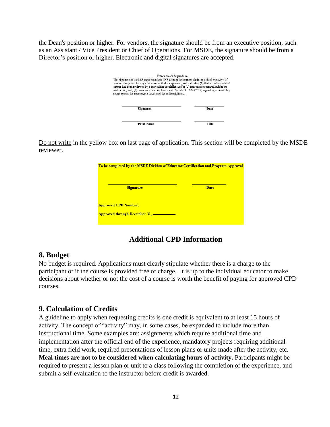the Dean's position or higher. For vendors, the signature should be from an executive position, such as an Assistant / Vice President or Chief of Operations. For MSDE, the signature should be from a Director's position or higher. Electronic and digital signatures are accepted.

| <b>Executive's Signature</b><br>The signature of the LSS superintendent, IHE dean or department chair, or a chief executive of<br>vendor is required for any course submitted for approval, and indicates, (1) that a content-related<br>course has been reviewed by a curriculum specialist; and/or (2) appropriate research guides the<br>instruction; and, (3) assurance of compliance with Senate Bill 674 (2012) regarding accessibility<br>requirements for coursework developed for online delivery. |       |
|-------------------------------------------------------------------------------------------------------------------------------------------------------------------------------------------------------------------------------------------------------------------------------------------------------------------------------------------------------------------------------------------------------------------------------------------------------------------------------------------------------------|-------|
| Signature                                                                                                                                                                                                                                                                                                                                                                                                                                                                                                   | Date  |
| <b>Print Name</b>                                                                                                                                                                                                                                                                                                                                                                                                                                                                                           | Title |

Do not write in the yellow box on last page of application. This section will be completed by the MSDE reviewer.

| To be completed by the MSDE Division of Educator Certification and Program Approval |             |
|-------------------------------------------------------------------------------------|-------------|
| <b>Signature</b>                                                                    | <b>Date</b> |
| <b>Approved CPD Number:</b><br><b>Approved through December 31, -</b>               |             |
|                                                                                     |             |

# **Additional CPD Information**

## <span id="page-11-1"></span><span id="page-11-0"></span>**8. Budget**

No budget is required. Applications must clearly stipulate whether there is a charge to the participant or if the course is provided free of charge. It is up to the individual educator to make decisions about whether or not the cost of a course is worth the benefit of paying for approved CPD courses.

## <span id="page-11-2"></span>**9. Calculation of Credits**

A guideline to apply when requesting credits is one credit is equivalent to at least 15 hours of activity. The concept of "activity" may, in some cases, be expanded to include more than instructional time. Some examples are: assignments which require additional time and implementation after the official end of the experience, mandatory projects requiring additional time, extra field work, required presentations of lesson plans or units made after the activity, etc. **Meal times are not to be considered when calculating hours of activity.** Participants might be required to present a lesson plan or unit to a class following the completion of the experience, and submit a self-evaluation to the instructor before credit is awarded.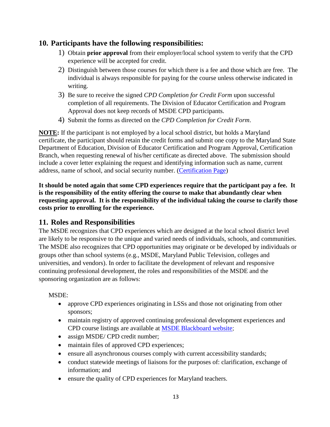## <span id="page-12-0"></span>**10. Participants have the following responsibilities:**

- 1) Obtain **prior approval** from their employer/local school system to verify that the CPD experience will be accepted for credit.
- 2) Distinguish between those courses for which there is a fee and those which are free. The individual is always responsible for paying for the course unless otherwise indicated in writing.
- 3) Be sure to receive the signed *CPD Completion for Credit Form* upon successful completion of all requirements. The Division of Educator Certification and Program Approval does not keep records of MSDE CPD participants.
- 4) Submit the forms as directed on the *CPD Completion for Credit Form*.

**NOTE:** If the participant is not employed by a local school district, but holds a Maryland certificate, the participant should retain the credit forms and submit one copy to the Maryland State Department of Education, Division of Educator Certification and Program Approval, Certification Branch, when requesting renewal of his/her certificate as directed above. The submission should include a cover letter explaining the request and identifying information such as name, current address, name of school, and social security number. [\(Certification Page\)](http://marylandpublicschools.org/about/Pages/DEE/Certification/index.aspx)

**It should be noted again that some CPD experiences require that the participant pay a fee. It is the responsibility of the entity offering the course to make that abundantly clear when requesting approval. It is the responsibility of the individual taking the course to clarify those costs prior to enrolling for the experience.** 

## <span id="page-12-1"></span>**11. Roles and Responsibilities**

The MSDE recognizes that CPD experiences which are designed at the local school district level are likely to be responsive to the unique and varied needs of individuals, schools, and communities. The MSDE also recognizes that CPD opportunities may originate or be developed by individuals or groups other than school systems (e.g., MSDE, Maryland Public Television, colleges and universities, and vendors). In order to facilitate the development of relevant and responsive continuing professional development, the roles and responsibilities of the MSDE and the sponsoring organization are as follows:

## MSDE:

- approve CPD experiences originating in LSSs and those not originating from other sponsors;
- maintain registry of approved continuing professional development experiences and CPD course listings are available at [MSDE Blackboard website;](https://msde.blackboard.com/webapps/portal/execute/tabs/tabAction?tab_tab_group_id=_104_1)
- assign MSDE/ CPD credit number;
- maintain files of approved CPD experiences;
- ensure all asynchronous courses comply with current accessibility standards;
- conduct statewide meetings of liaisons for the purposes of: clarification, exchange of information; and
- ensure the quality of CPD experiences for Maryland teachers.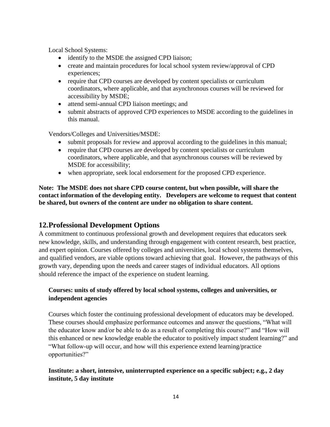Local School Systems:

- identify to the MSDE the assigned CPD liaison;
- create and maintain procedures for local school system review/approval of CPD experiences;
- require that CPD courses are developed by content specialists or curriculum coordinators, where applicable, and that asynchronous courses will be reviewed for accessibility by MSDE;
- attend semi-annual CPD liaison meetings; and
- submit abstracts of approved CPD experiences to MSDE according to the guidelines in this manual.

Vendors/Colleges and Universities/MSDE:

- submit proposals for review and approval according to the guidelines in this manual;
- require that CPD courses are developed by content specialists or curriculum coordinators, where applicable, and that asynchronous courses will be reviewed by MSDE for accessibility;
- when appropriate, seek local endorsement for the proposed CPD experience.

**Note: The MSDE does not share CPD course content, but when possible, will share the contact information of the developing entity. Developers are welcome to request that content be shared, but owners of the content are under no obligation to share content.**

# <span id="page-13-0"></span>**12.Professional Development Options**

A commitment to continuous professional growth and development requires that educators seek new knowledge, skills, and understanding through engagement with content research, best practice, and expert opinion. Courses offered by colleges and universities, local school systems themselves, and qualified vendors, are viable options toward achieving that goal. However, the pathways of this growth vary, depending upon the needs and career stages of individual educators. All options should reference the impact of the experience on student learning.

## **Courses: units of study offered by local school systems, colleges and universities, or independent agencies**

Courses which foster the continuing professional development of educators may be developed. These courses should emphasize performance outcomes and answer the questions, "What will the educator know and/or be able to do as a result of completing this course?" and "How will this enhanced or new knowledge enable the educator to positively impact student learning?" and "What follow-up will occur, and how will this experience extend learning/practice opportunities?"

## **Institute: a short, intensive, uninterrupted experience on a specific subject; e.g., 2 day institute, 5 day institute**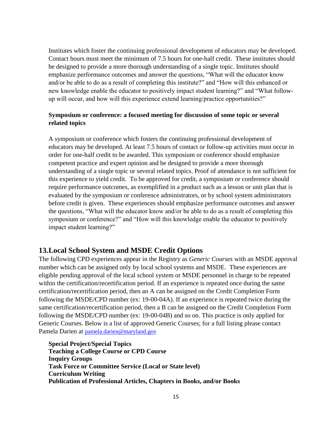Institutes which foster the continuing professional development of educators may be developed. Contact hours must meet the minimum of 7.5 hours for one-half credit. These institutes should be designed to provide a more thorough understanding of a single topic. Institutes should emphasize performance outcomes and answer the questions, "What will the educator know and/or be able to do as a result of completing this institute?" and "How will this enhanced or new knowledge enable the educator to positively impact student learning?" and "What followup will occur, and how will this experience extend learning/practice opportunities?"

## **Symposium or conference: a focused meeting for discussion of some topic or several related topics**

A symposium or conference which fosters the continuing professional development of educators may be developed. At least 7.5 hours of contact or follow-up activities must occur in order for one-half credit to be awarded. This symposium or conference should emphasize competent practice and expert opinion and be designed to provide a more thorough understanding of a single topic or several related topics. Proof of attendance is not sufficient for this experience to yield credit. To be approved for credit, a symposium or conference should require performance outcomes, as exemplified in a product such as a lesson or unit plan that is evaluated by the symposium or conference administrators, or by school system administrators before credit is given. These experiences should emphasize performance outcomes and answer the questions, "What will the educator know and/or be able to do as a result of completing this symposium or conference?" and "How will this knowledge enable the educator to positively impact student learning?"

## <span id="page-14-0"></span>**13.Local School System and MSDE Credit Options**

The following CPD experiences appear in the Registry as *Generic Courses* with an MSDE approval number which can be assigned only by local school systems and MSDE. These experiences are eligible pending approval of the local school system or MSDE personnel in charge to be repeated within the certification/recertification period. If an experience is repeated once during the same certification/recertification period, then an A can be assigned on the Credit Completion Form following the MSDE/CPD number (ex: 19-00-04A). If an experience is repeated twice during the same certification/recertification period, then a B can be assigned on the Credit Completion Form following the MSDE/CPD number (ex: 19-00-04B) and so on. This practice is only applied for Generic Courses. Below is a list of approved Generic Courses; for a full listing please contact Pamela Darien at [pamela.darien@maryland.gov](mailto:pamela.darien@maryland.gov)

**Special Project/Special Topics Teaching a College Course or CPD Course Inquiry Groups Task Force or Committee Service (Local or State level) Curriculum Writing Publication of Professional Articles, Chapters in Books, and/or Books**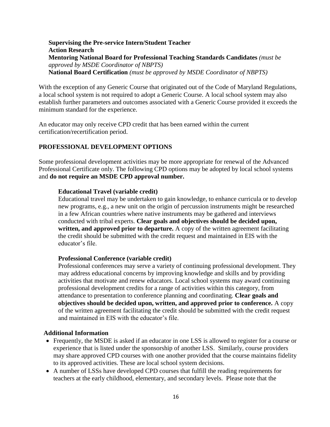#### **Supervising the Pre-service Intern/Student Teacher Action Research Mentoring National Board for Professional Teaching Standards Candidates** *(must be approved by MSDE Coordinator of NBPTS)*  **National Board Certification** *(must be approved by MSDE Coordinator of NBPTS)*

With the exception of any Generic Course that originated out of the Code of Maryland Regulations, a local school system is not required to adopt a Generic Course. A local school system may also establish further parameters and outcomes associated with a Generic Course provided it exceeds the minimum standard for the experience.

An educator may only receive CPD credit that has been earned within the current certification/recertification period.

#### **PROFESSIONAL DEVELOPMENT OPTIONS**

Some professional development activities may be more appropriate for renewal of the Advanced Professional Certificate only. The following CPD options may be adopted by local school systems and **do not require an MSDE CPD approval number.** 

#### **Educational Travel (variable credit)**

Educational travel may be undertaken to gain knowledge, to enhance curricula or to develop new programs, e.g., a new unit on the origin of percussion instruments might be researched in a few African countries where native instruments may be gathered and interviews conducted with tribal experts. **Clear goals and objectives should be decided upon, written, and approved prior to departure.** A copy of the written agreement facilitating the credit should be submitted with the credit request and maintained in EIS with the educator's file.

#### **Professional Conference (variable credit)**

Professional conferences may serve a variety of continuing professional development. They may address educational concerns by improving knowledge and skills and by providing activities that motivate and renew educators. Local school systems may award continuing professional development credits for a range of activities within this category, from attendance to presentation to conference planning and coordinating. **Clear goals and objectives should be decided upon, written, and approved prior to conference.** A copy of the written agreement facilitating the credit should be submitted with the credit request and maintained in EIS with the educator's file.

#### **Additional Information**

- Frequently, the MSDE is asked if an educator in one LSS is allowed to register for a course or experience that is listed under the sponsorship of another LSS. Similarly, course providers may share approved CPD courses with one another provided that the course maintains fidelity to its approved activities. These are local school system decisions.
- A number of LSSs have developed CPD courses that fulfill the reading requirements for teachers at the early childhood, elementary, and secondary levels. Please note that the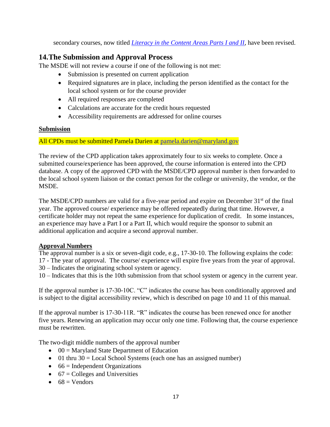secondary courses, now titled *[Literacy in the Content Areas Parts I and II](http://www.marylandpublicschools.org/about/Documents/DEE/ProgramApproval/Reading/Literacy%20in%20the%20Content%20Areas%20Parts%201%20and%202.pdf)*, have been revised.

# <span id="page-16-0"></span>**14.The Submission and Approval Process**

The MSDE will not review a course if one of the following is not met:

- Submission is presented on current application
- Required signatures are in place, including the person identified as the contact for the local school system or for the course provider
- All required responses are completed
- Calculations are accurate for the credit hours requested
- Accessibility requirements are addressed for online courses

## **Submission**

## All CPDs must be submitted Pamela Darien at [pamela.darien@maryland.gov](mailto:pamela.darien@maryland.gov)

The review of the CPD application takes approximately four to six weeks to complete. Once a submitted course/experience has been approved, the course information is entered into the CPD database. A copy of the approved CPD with the MSDE/CPD approval number is then forwarded to the local school system liaison or the contact person for the college or university, the vendor, or the MSDE.

The MSDE/CPD numbers are valid for a five-year period and expire on December  $31<sup>st</sup>$  of the final year. The approved course/ experience may be offered repeatedly during that time. However, a certificate holder may not repeat the same experience for duplication of credit. In some instances, an experience may have a Part I or a Part II, which would require the sponsor to submit an additional application and acquire a second approval number.

## **Approval Numbers**

The approval number is a six or seven-digit code, e.g., 17-30-10. The following explains the code: 17 - The year of approval. The course/ experience will expire five years from the year of approval. 30 – Indicates the originating school system or agency.

10 – Indicates that this is the 10th submission from that school system or agency in the current year.

If the approval number is 17-30-10C. "C" indicates the course has been conditionally approved and is subject to the digital accessibility review, which is described on page 10 and 11 of this manual.

If the approval number is 17-30-11R. "R" indicates the course has been renewed once for another five years. Renewing an application may occur only one time. Following that, the course experience must be rewritten.

The two-digit middle numbers of the approval number

- $\bullet$  00 = Maryland State Department of Education
- $\bullet$  01 thru 30 = Local School Systems (each one has an assigned number)
- $\bullet$  66 = Independent Organizations
- $\bullet$  67 = Colleges and Universities
- $68 = V$ endors